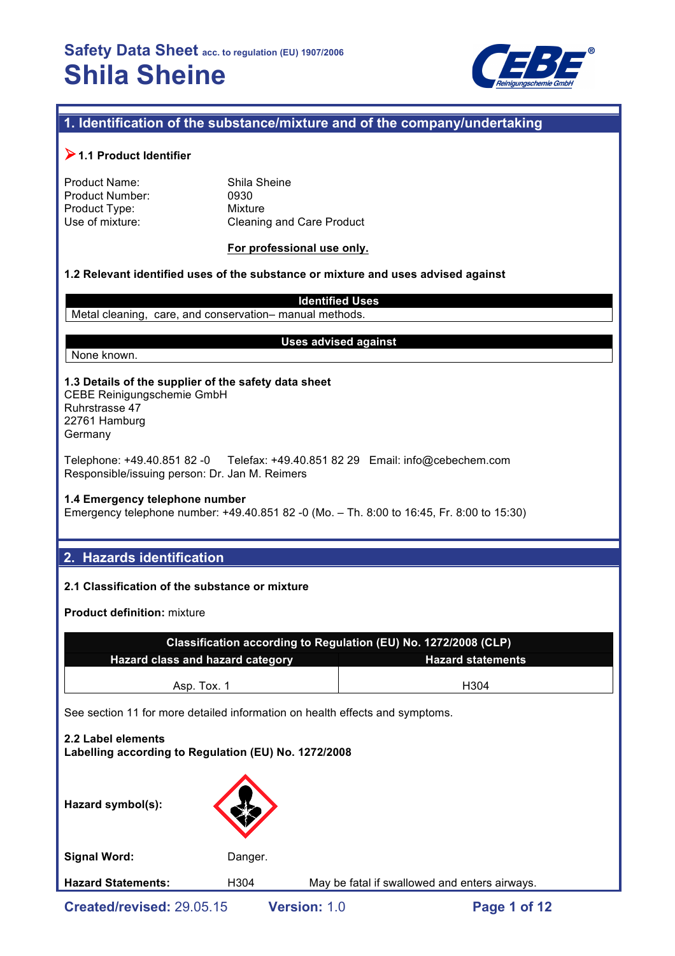

# **1. Identification of the substance/mixture and of the company/undertaking**

# !**1.1 Product Identifier**

| Shila |
|-------|
| 0930  |
| Mixtu |
| Clear |
|       |

Shila Sheine **Mixture** Cleaning and Care Product

**For professional use only.**

#### **1.2 Relevant identified uses of the substance or mixture and uses advised against**

**Identified Uses** Metal cleaning, care, and conservation– manual methods.

#### **Uses advised against**

None known.

#### **1.3 Details of the supplier of the safety data sheet**

CEBE Reinigungschemie GmbH Ruhrstrasse 47 22761 Hamburg **Germany** 

Telephone: +49.40.851 82 -0 Telefax: +49.40.851 82 29 Email: info@cebechem.com Responsible/issuing person: Dr. Jan M. Reimers

#### **1.4 Emergency telephone number**

Emergency telephone number: +49.40.851 82 -0 (Mo. – Th. 8:00 to 16:45, Fr. 8:00 to 15:30)

## **2. Hazards identification**

#### **2.1 Classification of the substance or mixture**

**Product definition:** mixture

| Classification according to Regulation (EU) No. 1272/2008 (CLP)              |  |  |  |  |  |
|------------------------------------------------------------------------------|--|--|--|--|--|
| Hazard class and hazard category<br><b>Hazard statements</b>                 |  |  |  |  |  |
| H <sub>304</sub><br>Asp. Tox. 1                                              |  |  |  |  |  |
| See section 11 for more detailed information on health effects and symptoms. |  |  |  |  |  |
| 2.2 Label elements<br>Labelling according to Regulation (EU) No. 1272/2008   |  |  |  |  |  |

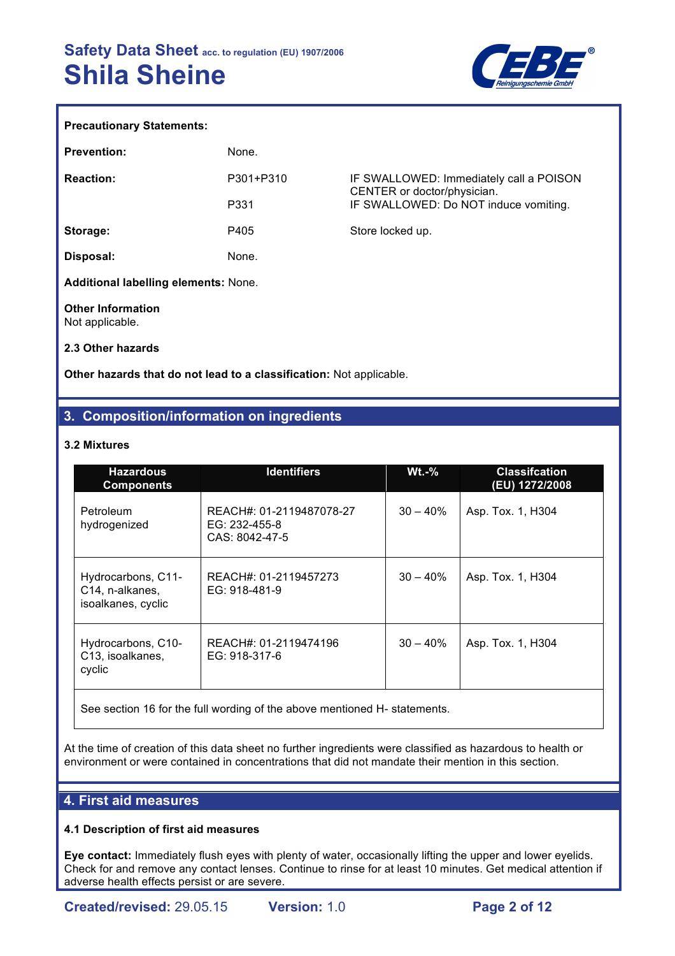

#### **Precautionary Statements:**

| <b>Prevention:</b>                          | None.     |                                                                        |
|---------------------------------------------|-----------|------------------------------------------------------------------------|
| <b>Reaction:</b>                            | P301+P310 | IF SWALLOWED: Immediately call a POISON<br>CENTER or doctor/physician. |
|                                             | P331      | IF SWALLOWED: Do NOT induce vomiting.                                  |
| Storage:                                    | P405      | Store locked up.                                                       |
| Disposal:                                   | None.     |                                                                        |
| Additional labelling elements: None.        |           |                                                                        |
| <b>Other Information</b><br>Not applicable. |           |                                                                        |

**2.3 Other hazards**

**Other hazards that do not lead to a classification:** Not applicable.

# **3. Composition/information on ingredients**

#### **3.2 Mixtures**

| <b>Hazardous</b><br><b>Components</b>                       | <b>Identifiers</b>                                          | $Wt.-%$    | <b>Classifcation</b><br>(EU) 1272/2008 |
|-------------------------------------------------------------|-------------------------------------------------------------|------------|----------------------------------------|
| Petroleum<br>hydrogenized                                   | REACH#: 01-2119487078-27<br>EG: 232-455-8<br>CAS: 8042-47-5 | $30 - 40%$ | Asp. Tox. 1, H304                      |
| Hydrocarbons, C11-<br>C14, n-alkanes,<br>isoalkanes, cyclic | REACH#: 01-2119457273<br>EG: 918-481-9                      | $30 - 40%$ | Asp. Tox. 1, H304                      |
| Hydrocarbons, C10-<br>C13, isoalkanes,<br>cyclic            | REACH#: 01-2119474196<br>EG: 918-317-6                      | $30 - 40%$ | Asp. Tox. 1, H304                      |

See section 16 for the full wording of the above mentioned H- statements.

At the time of creation of this data sheet no further ingredients were classified as hazardous to health or environment or were contained in concentrations that did not mandate their mention in this section.

## **4. First aid measures**

#### **4.1 Description of first aid measures**

**Eye contact:** Immediately flush eyes with plenty of water, occasionally lifting the upper and lower eyelids. Check for and remove any contact lenses. Continue to rinse for at least 10 minutes. Get medical attention if adverse health effects persist or are severe.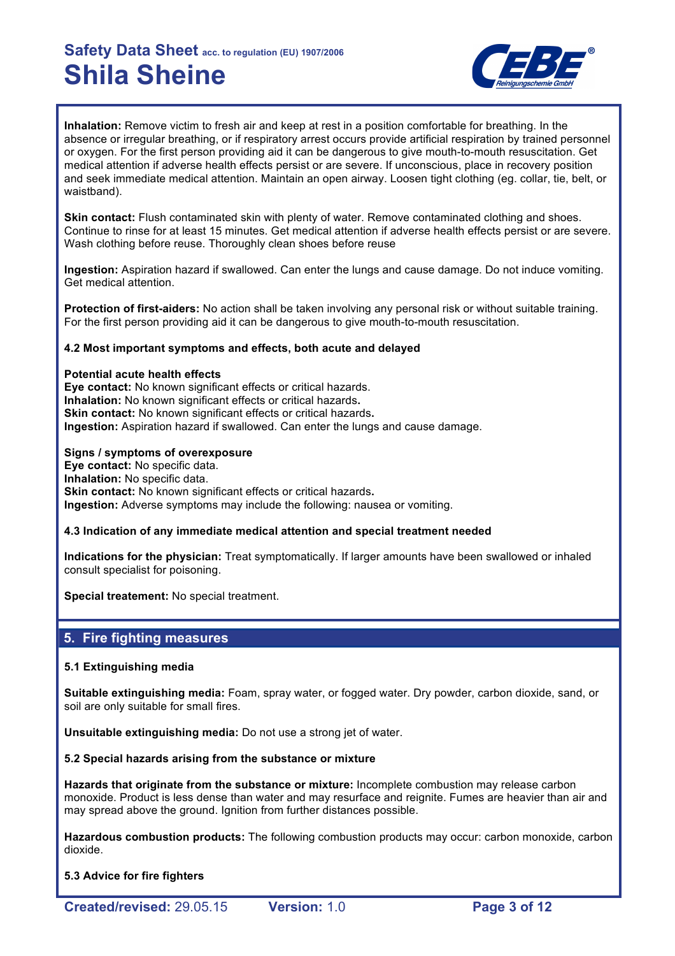

**Inhalation:** Remove victim to fresh air and keep at rest in a position comfortable for breathing. In the absence or irregular breathing, or if respiratory arrest occurs provide artificial respiration by trained personnel or oxygen. For the first person providing aid it can be dangerous to give mouth-to-mouth resuscitation. Get medical attention if adverse health effects persist or are severe. If unconscious, place in recovery position and seek immediate medical attention. Maintain an open airway. Loosen tight clothing (eg. collar, tie, belt, or waistband).

**Skin contact:** Flush contaminated skin with plenty of water. Remove contaminated clothing and shoes. Continue to rinse for at least 15 minutes. Get medical attention if adverse health effects persist or are severe. Wash clothing before reuse. Thoroughly clean shoes before reuse

**Ingestion:** Aspiration hazard if swallowed. Can enter the lungs and cause damage. Do not induce vomiting. Get medical attention.

**Protection of first-aiders:** No action shall be taken involving any personal risk or without suitable training. For the first person providing aid it can be dangerous to give mouth-to-mouth resuscitation.

#### **4.2 Most important symptoms and effects, both acute and delayed**

**Potential acute health effects Eye contact:** No known significant effects or critical hazards. **Inhalation:** No known significant effects or critical hazards**. Skin contact:** No known significant effects or critical hazards**. Ingestion:** Aspiration hazard if swallowed. Can enter the lungs and cause damage.

#### **Signs / symptoms of overexposure**

**Eye contact:** No specific data. **Inhalation:** No specific data. **Skin contact:** No known significant effects or critical hazards. **Ingestion:** Adverse symptoms may include the following: nausea or vomiting.

#### **4.3 Indication of any immediate medical attention and special treatment needed**

**Indications for the physician:** Treat symptomatically. If larger amounts have been swallowed or inhaled consult specialist for poisoning.

**Special treatement:** No special treatment.

#### **5. Fire fighting measures**

#### **5.1 Extinguishing media**

**Suitable extinguishing media:** Foam, spray water, or fogged water. Dry powder, carbon dioxide, sand, or soil are only suitable for small fires.

**Unsuitable extinguishing media:** Do not use a strong jet of water.

#### **5.2 Special hazards arising from the substance or mixture**

**Hazards that originate from the substance or mixture:** Incomplete combustion may release carbon monoxide. Product is less dense than water and may resurface and reignite. Fumes are heavier than air and may spread above the ground. Ignition from further distances possible.

**Hazardous combustion products:** The following combustion products may occur: carbon monoxide, carbon dioxide.

#### **5.3 Advice for fire fighters**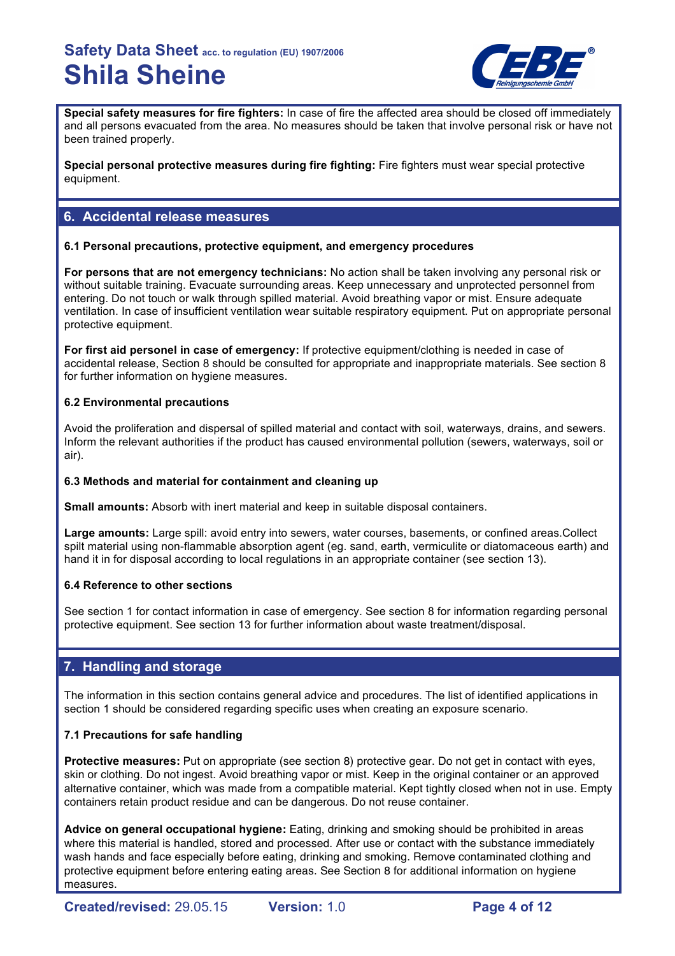

**Special safety measures for fire fighters:** In case of fire the affected area should be closed off immediately and all persons evacuated from the area. No measures should be taken that involve personal risk or have not been trained properly.

**Special personal protective measures during fire fighting:** Fire fighters must wear special protective equipment.

## **6. Accidental release measures**

#### **6.1 Personal precautions, protective equipment, and emergency procedures**

**For persons that are not emergency technicians:** No action shall be taken involving any personal risk or without suitable training. Evacuate surrounding areas. Keep unnecessary and unprotected personnel from entering. Do not touch or walk through spilled material. Avoid breathing vapor or mist. Ensure adequate ventilation. In case of insufficient ventilation wear suitable respiratory equipment. Put on appropriate personal protective equipment.

**For first aid personel in case of emergency:** If protective equipment/clothing is needed in case of accidental release, Section 8 should be consulted for appropriate and inappropriate materials. See section 8 for further information on hygiene measures.

### **6.2 Environmental precautions**

Avoid the proliferation and dispersal of spilled material and contact with soil, waterways, drains, and sewers. Inform the relevant authorities if the product has caused environmental pollution (sewers, waterways, soil or air).

#### **6.3 Methods and material for containment and cleaning up**

**Small amounts:** Absorb with inert material and keep in suitable disposal containers.

**Large amounts:** Large spill: avoid entry into sewers, water courses, basements, or confined areas.Collect spilt material using non-flammable absorption agent (eg. sand, earth, vermiculite or diatomaceous earth) and hand it in for disposal according to local regulations in an appropriate container (see section 13).

#### **6.4 Reference to other sections**

See section 1 for contact information in case of emergency. See section 8 for information regarding personal protective equipment. See section 13 for further information about waste treatment/disposal.

## **7. Handling and storage**

The information in this section contains general advice and procedures. The list of identified applications in section 1 should be considered regarding specific uses when creating an exposure scenario.

#### **7.1 Precautions for safe handling**

**Protective measures:** Put on appropriate (see section 8) protective gear. Do not get in contact with eyes, skin or clothing. Do not ingest. Avoid breathing vapor or mist. Keep in the original container or an approved alternative container, which was made from a compatible material. Kept tightly closed when not in use. Empty containers retain product residue and can be dangerous. Do not reuse container.

**Advice on general occupational hygiene:** Eating, drinking and smoking should be prohibited in areas where this material is handled, stored and processed. After use or contact with the substance immediately wash hands and face especially before eating, drinking and smoking. Remove contaminated clothing and protective equipment before entering eating areas. See Section 8 for additional information on hygiene measures.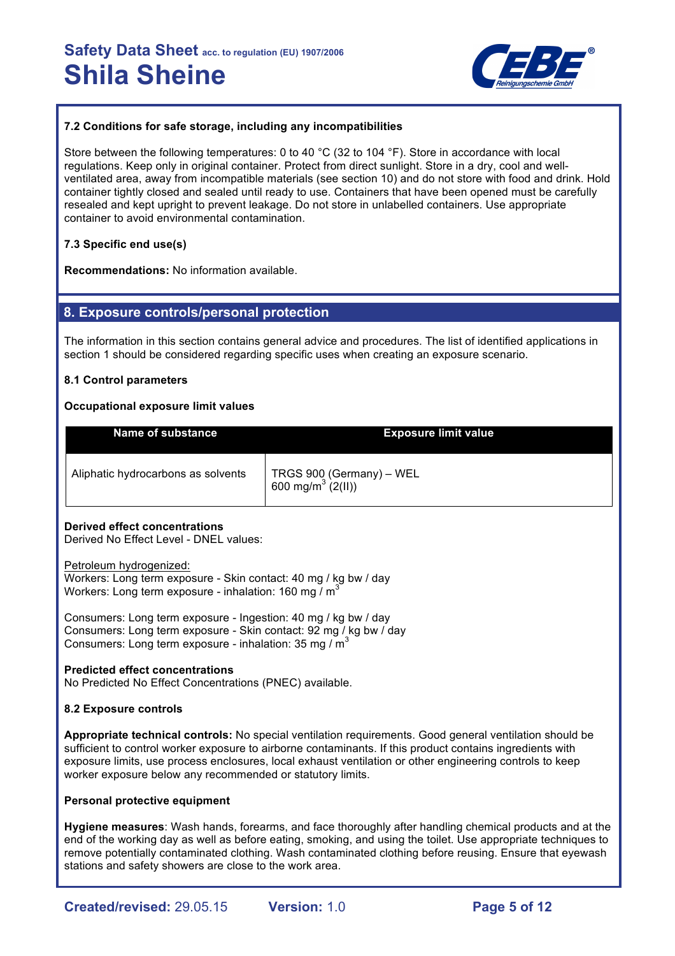

#### **7.2 Conditions for safe storage, including any incompatibilities**

Store between the following temperatures: 0 to 40 °C (32 to 104 °F). Store in accordance with local regulations. Keep only in original container. Protect from direct sunlight. Store in a dry, cool and wellventilated area, away from incompatible materials (see section 10) and do not store with food and drink. Hold container tightly closed and sealed until ready to use. Containers that have been opened must be carefully resealed and kept upright to prevent leakage. Do not store in unlabelled containers. Use appropriate container to avoid environmental contamination.

### **7.3 Specific end use(s)**

**Recommendations:** No information available.

### **8. Exposure controls/personal protection**

The information in this section contains general advice and procedures. The list of identified applications in section 1 should be considered regarding specific uses when creating an exposure scenario.

#### **8.1 Control parameters**

#### **Occupational exposure limit values**

| Name of substance                  | <b>Exposure limit value</b>                               |
|------------------------------------|-----------------------------------------------------------|
| Aliphatic hydrocarbons as solvents | TRGS 900 (Germany) - WEL<br>600 mg/m <sup>3</sup> (2(II)) |

#### **Derived effect concentrations**

Derived No Effect Level - DNEL values:

Petroleum hydrogenized: Workers: Long term exposure - Skin contact: 40 mg / kg bw / day Workers: Long term exposure - inhalation: 160 mg /  $m^3$ 

Consumers: Long term exposure - Ingestion: 40 mg / kg bw / day Consumers: Long term exposure - Skin contact: 92 mg / kg bw / day Consumers: Long term exposure - inhalation: 35 mg /  $\text{m}^3$ 

#### **Predicted effect concentrations**

No Predicted No Effect Concentrations (PNEC) available.

#### **8.2 Exposure controls**

**Appropriate technical controls:** No special ventilation requirements. Good general ventilation should be sufficient to control worker exposure to airborne contaminants. If this product contains ingredients with exposure limits, use process enclosures, local exhaust ventilation or other engineering controls to keep worker exposure below any recommended or statutory limits.

#### **Personal protective equipment**

**Hygiene measures**: Wash hands, forearms, and face thoroughly after handling chemical products and at the end of the working day as well as before eating, smoking, and using the toilet. Use appropriate techniques to remove potentially contaminated clothing. Wash contaminated clothing before reusing. Ensure that eyewash stations and safety showers are close to the work area.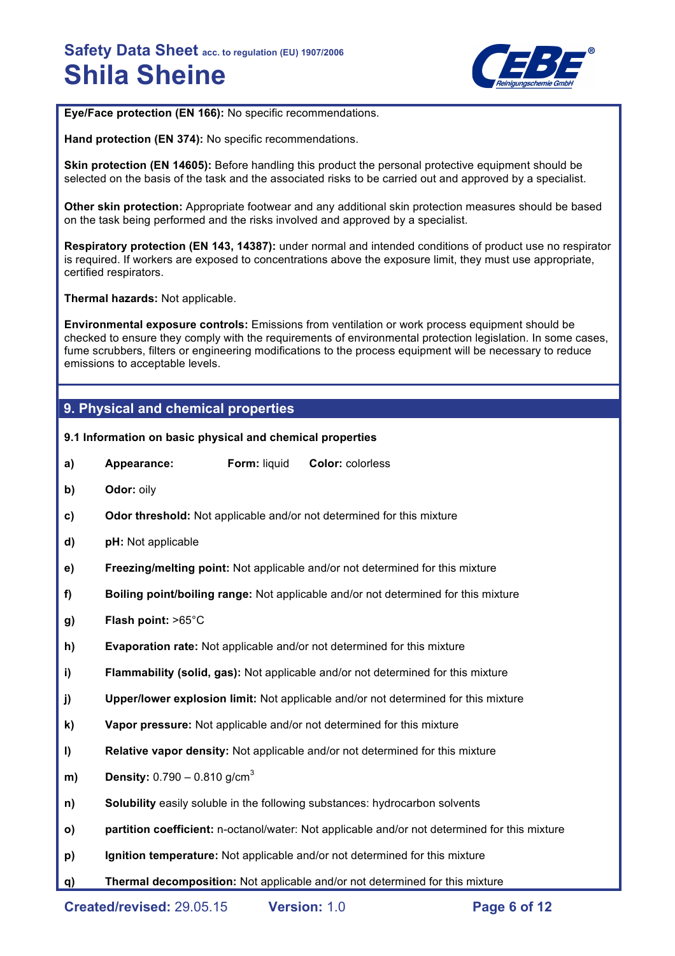

**Eye/Face protection (EN 166):** No specific recommendations.

**Hand protection (EN 374):** No specific recommendations.

**Skin protection (EN 14605):** Before handling this product the personal protective equipment should be selected on the basis of the task and the associated risks to be carried out and approved by a specialist.

**Other skin protection:** Appropriate footwear and any additional skin protection measures should be based on the task being performed and the risks involved and approved by a specialist.

**Respiratory protection (EN 143, 14387):** under normal and intended conditions of product use no respirator is required. If workers are exposed to concentrations above the exposure limit, they must use appropriate, certified respirators.

**Thermal hazards:** Not applicable.

**Environmental exposure controls:** Emissions from ventilation or work process equipment should be checked to ensure they comply with the requirements of environmental protection legislation. In some cases, fume scrubbers, filters or engineering modifications to the process equipment will be necessary to reduce emissions to acceptable levels.

### **9. Physical and chemical properties**

**9.1 Information on basic physical and chemical properties** 

- **a) Appearance: Form:** liquid **Color:** colorless
- **b) Odor:** oily
- **c) Odor threshold:** Not applicable and/or not determined for this mixture
- **d) pH:** Not applicable
- **e) Freezing/melting point:** Not applicable and/or not determined for this mixture
- **f) Boiling point/boiling range:** Not applicable and/or not determined for this mixture
- **g) Flash point:** >65°C
- **h) Evaporation rate:** Not applicable and/or not determined for this mixture
- **i) Flammability (solid, gas):** Not applicable and/or not determined for this mixture
- **j) Upper/lower explosion limit:** Not applicable and/or not determined for this mixture
- **k) Vapor pressure:** Not applicable and/or not determined for this mixture
- **l) Relative vapor density:** Not applicable and/or not determined for this mixture
- **m) Density:** 0.790 0.810 g/cm<sup>3</sup>
- **n) Solubility** easily soluble in the following substances: hydrocarbon solvents
- **o) partition coefficient:** n-octanol/water: Not applicable and/or not determined for this mixture
- **p) Ignition temperature:** Not applicable and/or not determined for this mixture
- **q) Thermal decomposition:** Not applicable and/or not determined for this mixture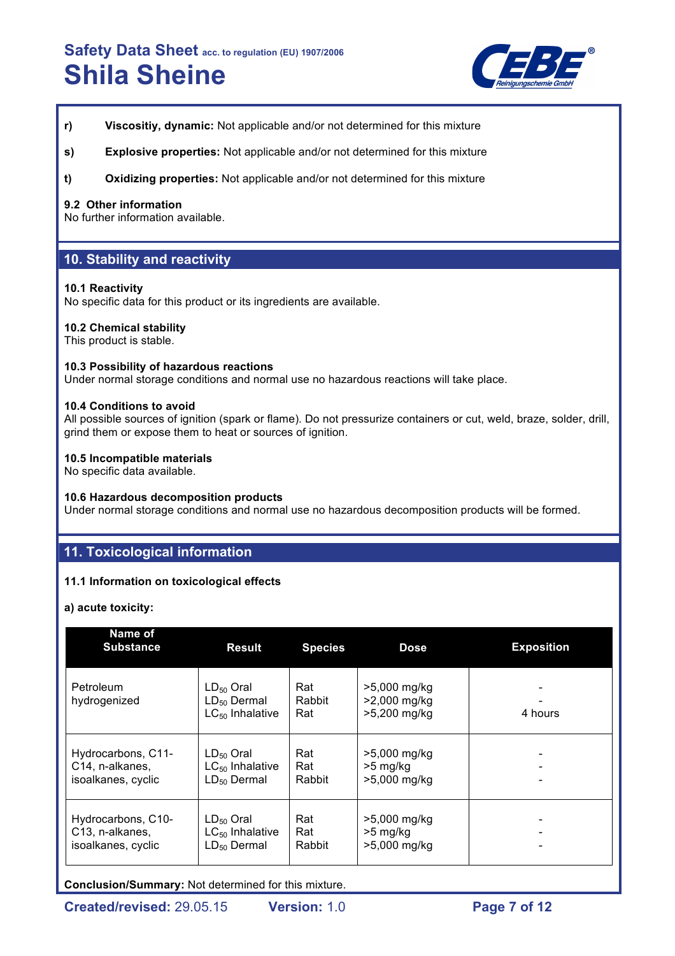

- **r) Viscositiy, dynamic:** Not applicable and/or not determined for this mixture
- **s) Explosive properties:** Not applicable and/or not determined for this mixture
- **t) Oxidizing properties:** Not applicable and/or not determined for this mixture

#### **9.2 Other information**

No further information available.

### **10. Stability and reactivity**

#### **10.1 Reactivity**

No specific data for this product or its ingredients are available.

#### **10.2 Chemical stability**

This product is stable.

#### **10.3 Possibility of hazardous reactions**

Under normal storage conditions and normal use no hazardous reactions will take place.

#### **10.4 Conditions to avoid**

All possible sources of ignition (spark or flame). Do not pressurize containers or cut, weld, braze, solder, drill, grind them or expose them to heat or sources of ignition.

#### **10.5 Incompatible materials**

No specific data available.

#### **10.6 Hazardous decomposition products**

Under normal storage conditions and normal use no hazardous decomposition products will be formed.

### **11. Toxicological information**

#### **11.1 Information on toxicological effects**

**a) acute toxicity:**

| Name of<br><b>Substance</b> | <b>Result</b>                                              | <b>Species</b>       | <b>Dose</b>                                  | <b>Exposition</b> |
|-----------------------------|------------------------------------------------------------|----------------------|----------------------------------------------|-------------------|
| Petroleum<br>hydrogenized   | $LD_{50}$ Oral<br>$LD_{50}$ Dermal<br>$LC_{50}$ Inhalative | Rat<br>Rabbit<br>Rat | >5,000 mg/kg<br>>2,000 mg/kg<br>>5,200 mg/kg | 4 hours           |
| Hydrocarbons, C11-          | $LD_{50}$ Oral                                             | Rat                  | >5,000 mg/kg                                 |                   |
| C14, n-alkanes,             | $LC_{50}$ Inhalative                                       | Rat                  | $>5$ mg/kg                                   |                   |
| isoalkanes, cyclic          | $LD_{50}$ Dermal                                           | Rabbit               | >5,000 mg/kg                                 |                   |
| Hydrocarbons, C10-          | $LD_{50}$ Oral                                             | Rat                  | >5,000 mg/kg                                 |                   |
| C13, n-alkanes,             | $LC_{50}$ Inhalative                                       | Rat                  | $>5$ mg/kg                                   |                   |
| isoalkanes, cyclic          | $LD_{50}$ Dermal                                           | Rabbit               | >5,000 mg/kg                                 |                   |

**Conclusion/Summary:** Not determined for this mixture.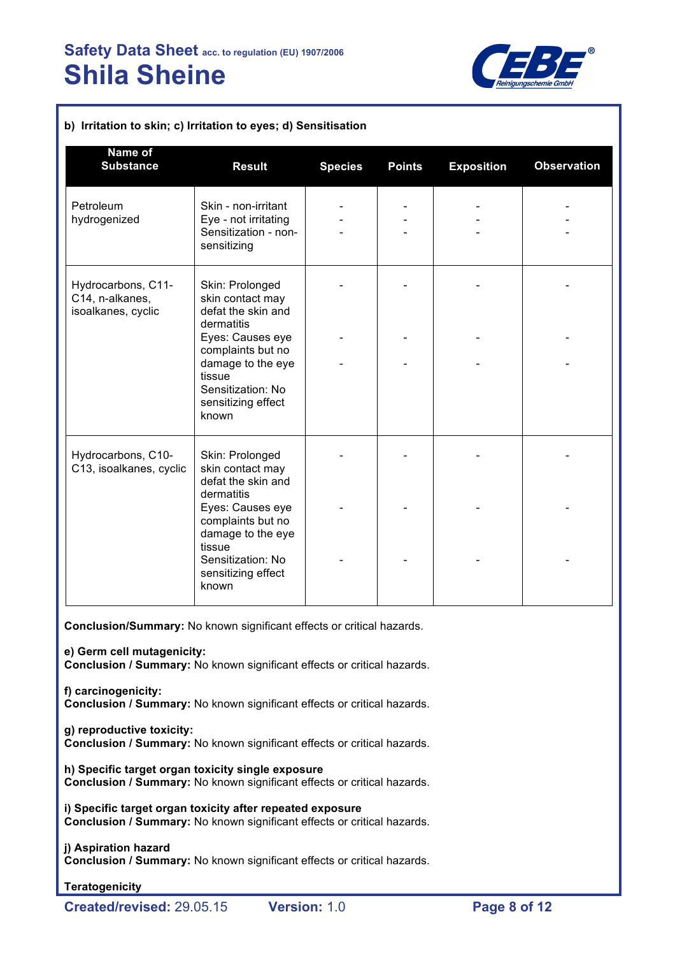

| Name of<br><b>Substance</b>                                 | <b>Result</b>                                                                                                            | <b>Species</b> | <b>Points</b> | <b>Exposition</b> | <b>Observation</b> |
|-------------------------------------------------------------|--------------------------------------------------------------------------------------------------------------------------|----------------|---------------|-------------------|--------------------|
| Petroleum<br>hydrogenized                                   | Skin - non-irritant<br>Eye - not irritating<br>Sensitization - non-<br>sensitizing                                       |                |               |                   |                    |
| Hydrocarbons, C11-<br>C14, n-alkanes,<br>isoalkanes, cyclic | Skin: Prolonged<br>skin contact may<br>defat the skin and<br>dermatitis                                                  |                |               |                   |                    |
|                                                             | Eyes: Causes eye<br>complaints but no<br>damage to the eye<br>tissue<br>Sensitization: No<br>sensitizing effect<br>known |                |               |                   |                    |
| Hydrocarbons, C10-<br>C13, isoalkanes, cyclic               | Skin: Prolonged<br>skin contact may<br>defat the skin and<br>dermatitis                                                  |                |               |                   |                    |
|                                                             | Eyes: Causes eye<br>complaints but no<br>damage to the eye<br>tissue                                                     |                |               |                   |                    |
|                                                             | Sensitization: No<br>sensitizing effect<br>known                                                                         |                |               |                   |                    |

**Conclusion/Summary:** No known significant effects or critical hazards.

**e) Germ cell mutagenicity:**

**Conclusion / Summary:** No known significant effects or critical hazards.

**f) carcinogenicity: Conclusion / Summary:** No known significant effects or critical hazards.

**g) reproductive toxicity:**

**Conclusion / Summary:** No known significant effects or critical hazards.

**h) Specific target organ toxicity single exposure Conclusion / Summary:** No known significant effects or critical hazards.

**i) Specific target organ toxicity after repeated exposure Conclusion / Summary:** No known significant effects or critical hazards.

## **j) Aspiration hazard**

**Conclusion / Summary:** No known significant effects or critical hazards.

#### **Teratogenicity**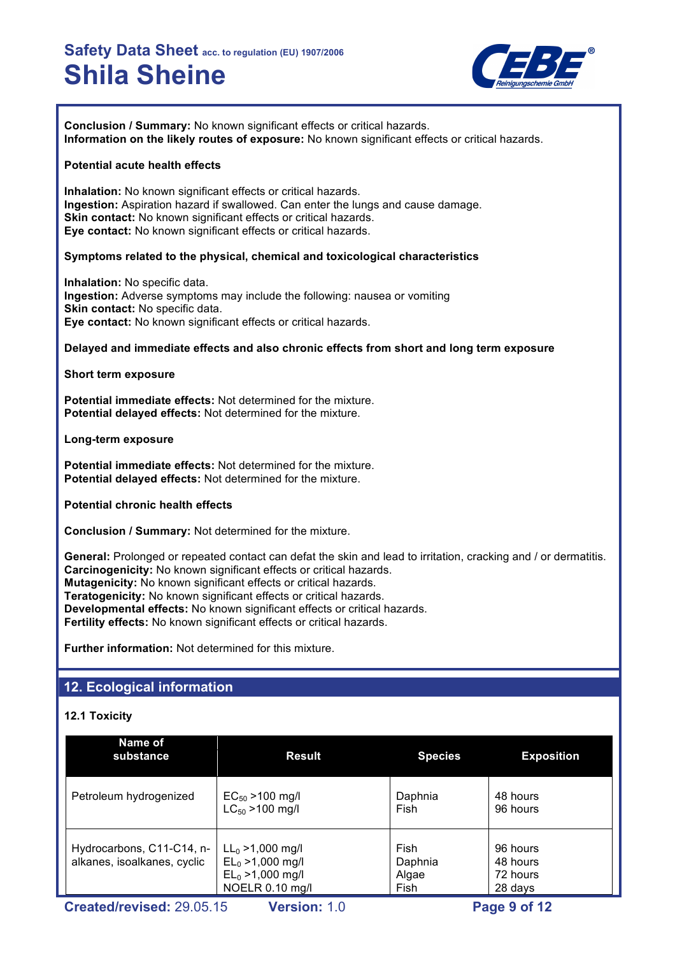

**Conclusion / Summary:** No known significant effects or critical hazards. **Information on the likely routes of exposure:** No known significant effects or critical hazards.

#### **Potential acute health effects**

**Inhalation:** No known significant effects or critical hazards. **Ingestion:** Aspiration hazard if swallowed. Can enter the lungs and cause damage. **Skin contact:** No known significant effects or critical hazards. **Eye contact:** No known significant effects or critical hazards.

#### **Symptoms related to the physical, chemical and toxicological characteristics**

**Inhalation:** No specific data. **Ingestion:** Adverse symptoms may include the following: nausea or vomiting **Skin contact: No specific data. Eye contact:** No known significant effects or critical hazards.

#### **Delayed and immediate effects and also chronic effects from short and long term exposure**

**Short term exposure**

**Potential immediate effects:** Not determined for the mixture. **Potential delayed effects:** Not determined for the mixture.

**Long-term exposure**

**Potential immediate effects:** Not determined for the mixture. **Potential delayed effects:** Not determined for the mixture.

**Potential chronic health effects**

**Conclusion / Summary:** Not determined for the mixture.

**General:** Prolonged or repeated contact can defat the skin and lead to irritation, cracking and / or dermatitis. **Carcinogenicity:** No known significant effects or critical hazards. **Mutagenicity:** No known significant effects or critical hazards. **Teratogenicity:** No known significant effects or critical hazards. **Developmental effects:** No known significant effects or critical hazards. **Fertility effects:** No known significant effects or critical hazards.

**Further information:** Not determined for this mixture.

## **12. Ecological information**

#### **12.1 Toxicity**

| Name of<br>substance                                     | <b>Result</b>                                                                        | <b>Species</b>                   | <b>Exposition</b>                           |
|----------------------------------------------------------|--------------------------------------------------------------------------------------|----------------------------------|---------------------------------------------|
| Petroleum hydrogenized                                   | $EC_{50}$ > 100 mg/l<br>$LC_{50}$ > 100 mg/l                                         | Daphnia<br>Fish                  | 48 hours<br>96 hours                        |
| Hydrocarbons, C11-C14, n-<br>alkanes, isoalkanes, cyclic | $LL_0 > 1,000$ mg/l<br>$EL_0 > 1,000$ mg/l<br>$EL_0 > 1,000$ mg/l<br>NOELR 0.10 mg/l | Fish<br>Daphnia<br>Algae<br>Fish | 96 hours<br>48 hours<br>72 hours<br>28 days |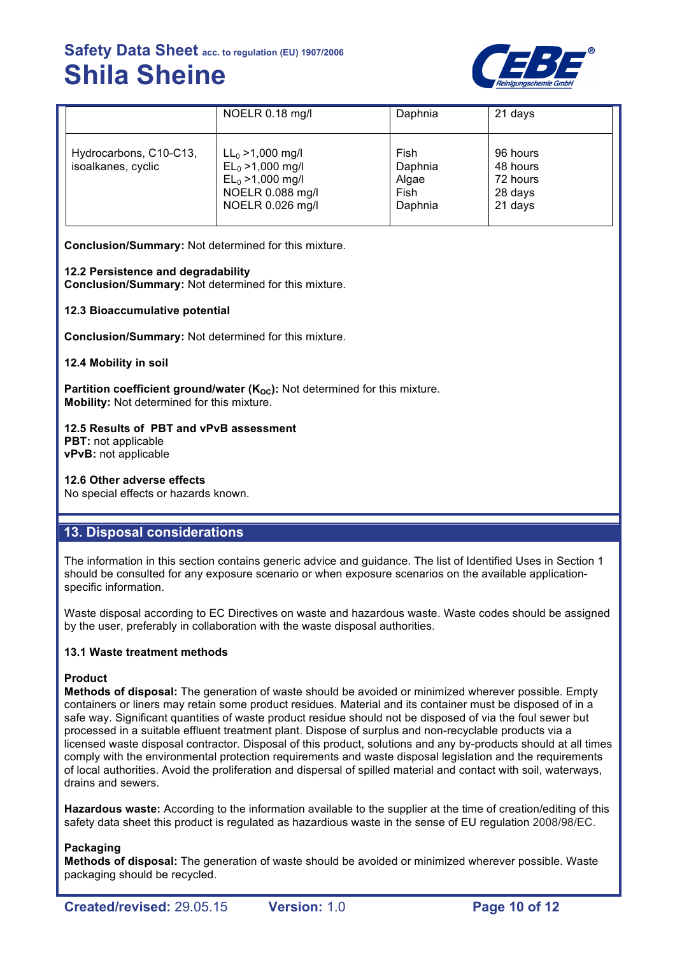

|                                              | NOELR 0.18 mg/l                                                                                           | Daphnia                                     | 21 days                                                |
|----------------------------------------------|-----------------------------------------------------------------------------------------------------------|---------------------------------------------|--------------------------------------------------------|
| Hydrocarbons, C10-C13,<br>isoalkanes, cyclic | $LL_0 > 1,000$ mg/l<br>$EL_0 > 1,000$ mg/l<br>$EL_0 > 1,000$ mg/l<br>NOELR 0.088 mg/l<br>NOELR 0.026 mg/l | Fish<br>Daphnia<br>Algae<br>Fish<br>Daphnia | 96 hours<br>48 hours<br>72 hours<br>28 days<br>21 days |

**Conclusion/Summary:** Not determined for this mixture.

#### **12.2 Persistence and degradability**

**Conclusion/Summary:** Not determined for this mixture.

#### **12.3 Bioaccumulative potential**

**Conclusion/Summary:** Not determined for this mixture.

**12.4 Mobility in soil**

**Partition coefficient ground/water (K<sub>OC</sub>):** Not determined for this mixture. **Mobility:** Not determined for this mixture.

#### **12.5 Results of PBT and vPvB assessment PBT:** not applicable

**vPvB:** not applicable

#### **12.6 Other adverse effects**

No special effects or hazards known.

### **13. Disposal considerations**

The information in this section contains generic advice and guidance. The list of Identified Uses in Section 1 should be consulted for any exposure scenario or when exposure scenarios on the available applicationspecific information.

Waste disposal according to EC Directives on waste and hazardous waste. Waste codes should be assigned by the user, preferably in collaboration with the waste disposal authorities.

#### **13.1 Waste treatment methods**

#### **Product**

**Methods of disposal:** The generation of waste should be avoided or minimized wherever possible. Empty containers or liners may retain some product residues. Material and its container must be disposed of in a safe way. Significant quantities of waste product residue should not be disposed of via the foul sewer but processed in a suitable effluent treatment plant. Dispose of surplus and non-recyclable products via a licensed waste disposal contractor. Disposal of this product, solutions and any by-products should at all times comply with the environmental protection requirements and waste disposal legislation and the requirements of local authorities. Avoid the proliferation and dispersal of spilled material and contact with soil, waterways, drains and sewers.

**Hazardous waste:** According to the information available to the supplier at the time of creation/editing of this safety data sheet this product is regulated as hazardious waste in the sense of EU regulation 2008/98/EC.

#### **Packaging**

**Methods of disposal:** The generation of waste should be avoided or minimized wherever possible. Waste packaging should be recycled.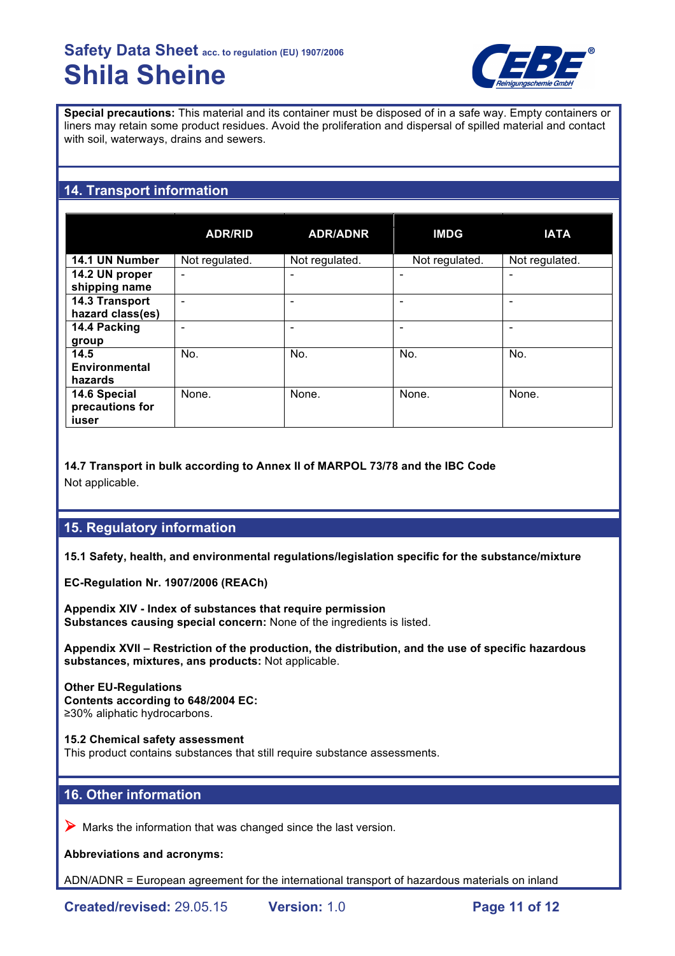

**Special precautions:** This material and its container must be disposed of in a safe way. Empty containers or liners may retain some product residues. Avoid the proliferation and dispersal of spilled material and contact with soil, waterways, drains and sewers.

# **14. Transport information**

|                  | <b>ADR/RID</b> | <b>ADR/ADNR</b> | <b>IMDG</b>    | <b>IATA</b>    |
|------------------|----------------|-----------------|----------------|----------------|
| 14.1 UN Number   | Not regulated. | Not regulated.  | Not regulated. | Not regulated. |
| 14.2 UN proper   | ۰              |                 |                |                |
| shipping name    |                |                 |                |                |
| 14.3 Transport   |                |                 |                |                |
| hazard class(es) |                |                 |                |                |
| 14.4 Packing     |                |                 |                |                |
| group            |                |                 |                |                |
| 14.5             | No.            | No.             | No.            | No.            |
| Environmental    |                |                 |                |                |
| hazards          |                |                 |                |                |
| 14.6 Special     | None.          | None.           | None.          | None.          |
| precautions for  |                |                 |                |                |
| iuser            |                |                 |                |                |

**14.7 Transport in bulk according to Annex II of MARPOL 73/78 and the IBC Code** Not applicable.

## **15. Regulatory information**

**15.1 Safety, health, and environmental regulations/legislation specific for the substance/mixture**

**EC-Regulation Nr. 1907/2006 (REACh)**

**Appendix XIV - Index of substances that require permission Substances causing special concern:** None of the ingredients is listed.

**Appendix XVII – Restriction of the production, the distribution, and the use of specific hazardous substances, mixtures, ans products:** Not applicable.

**Other EU-Regulations Contents according to 648/2004 EC:** ≥30% aliphatic hydrocarbons.

**15.2 Chemical safety assessment** This product contains substances that still require substance assessments.

## **16. Other information**

 $\triangleright$  Marks the information that was changed since the last version.

**Abbreviations and acronyms:**

ADN/ADNR = European agreement for the international transport of hazardous materials on inland

**Created/revised:** 29.05.15 **Version:** 1.0 **Page 11 of 12**